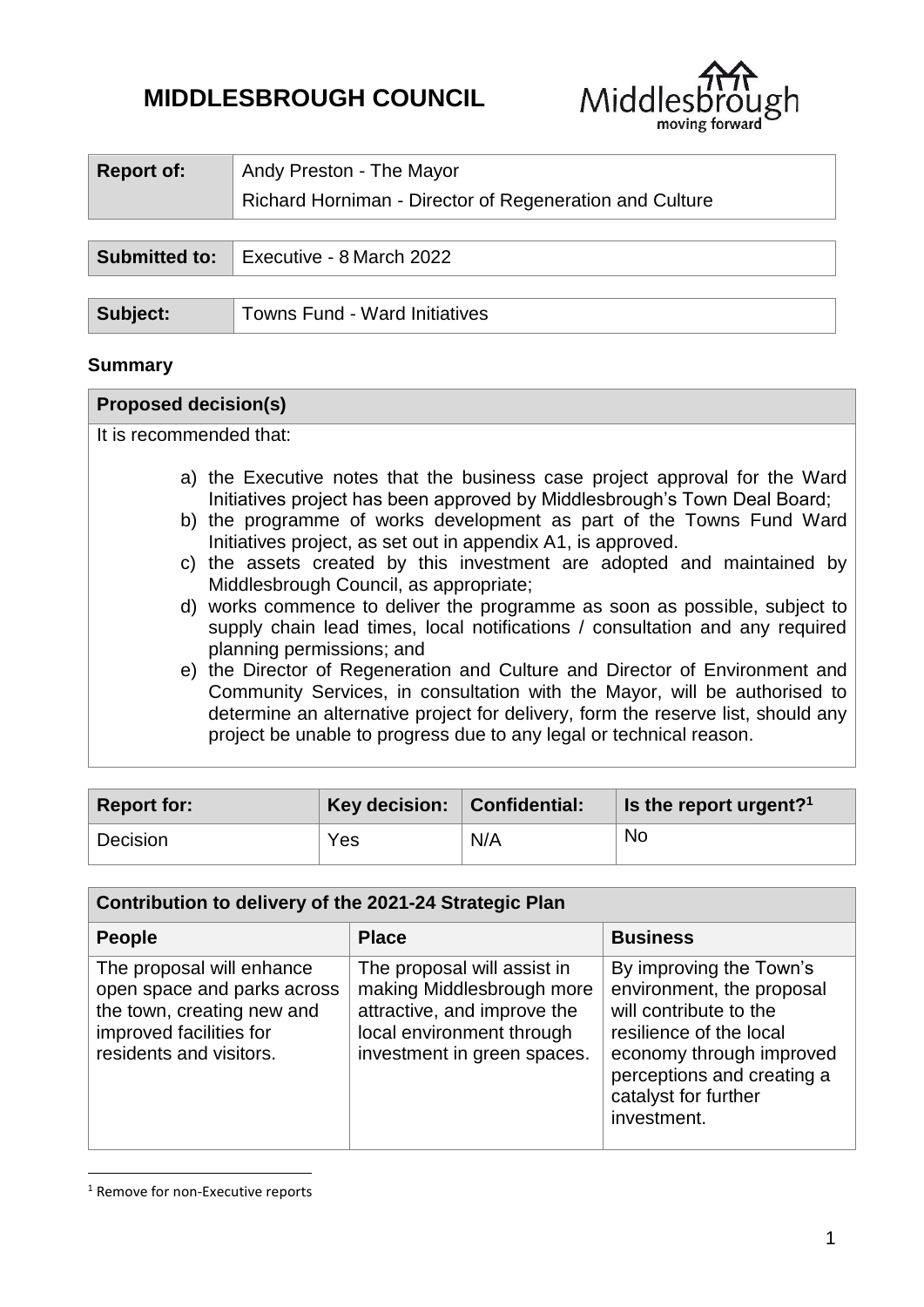# **MIDDLESBROUGH COUNCIL**



| Report of:           | Andy Preston - The Mayor                                |
|----------------------|---------------------------------------------------------|
|                      | Richard Horniman - Director of Regeneration and Culture |
|                      |                                                         |
| <b>Submitted to:</b> | Executive - 8 March 2022                                |
|                      |                                                         |
| Subject:             | <b>Towns Fund - Ward Initiatives</b>                    |

#### **Summary**

#### **Proposed decision(s)**

It is recommended that:

- a) the Executive notes that the business case project approval for the Ward Initiatives project has been approved by Middlesbrough's Town Deal Board;
- b) the programme of works development as part of the Towns Fund Ward Initiatives project, as set out in appendix A1, is approved.
- c) the assets created by this investment are adopted and maintained by Middlesbrough Council, as appropriate;
- d) works commence to deliver the programme as soon as possible, subject to supply chain lead times, local notifications / consultation and any required planning permissions; and
- e) the Director of Regeneration and Culture and Director of Environment and Community Services, in consultation with the Mayor, will be authorised to determine an alternative project for delivery, form the reserve list, should any project be unable to progress due to any legal or technical reason.

| <b>Report for:</b> | <b>Key decision:</b> $\vert$ Confidential: |     | $\parallel$ is the report urgent? <sup>1</sup> |
|--------------------|--------------------------------------------|-----|------------------------------------------------|
| Decision           | Yes                                        | N/A | No                                             |

| Contribution to delivery of the 2021-24 Strategic Plan                                                                                       |                                                                                                                                                     |                                                                                                                                                                                                            |  |  |  |  |
|----------------------------------------------------------------------------------------------------------------------------------------------|-----------------------------------------------------------------------------------------------------------------------------------------------------|------------------------------------------------------------------------------------------------------------------------------------------------------------------------------------------------------------|--|--|--|--|
| <b>People</b>                                                                                                                                | <b>Place</b>                                                                                                                                        | <b>Business</b>                                                                                                                                                                                            |  |  |  |  |
| The proposal will enhance<br>open space and parks across<br>the town, creating new and<br>improved facilities for<br>residents and visitors. | The proposal will assist in<br>making Middlesbrough more<br>attractive, and improve the<br>local environment through<br>investment in green spaces. | By improving the Town's<br>environment, the proposal<br>will contribute to the<br>resilience of the local<br>economy through improved<br>perceptions and creating a<br>catalyst for further<br>investment. |  |  |  |  |

<sup>&</sup>lt;sup>1</sup> Remove for non-Executive reports

1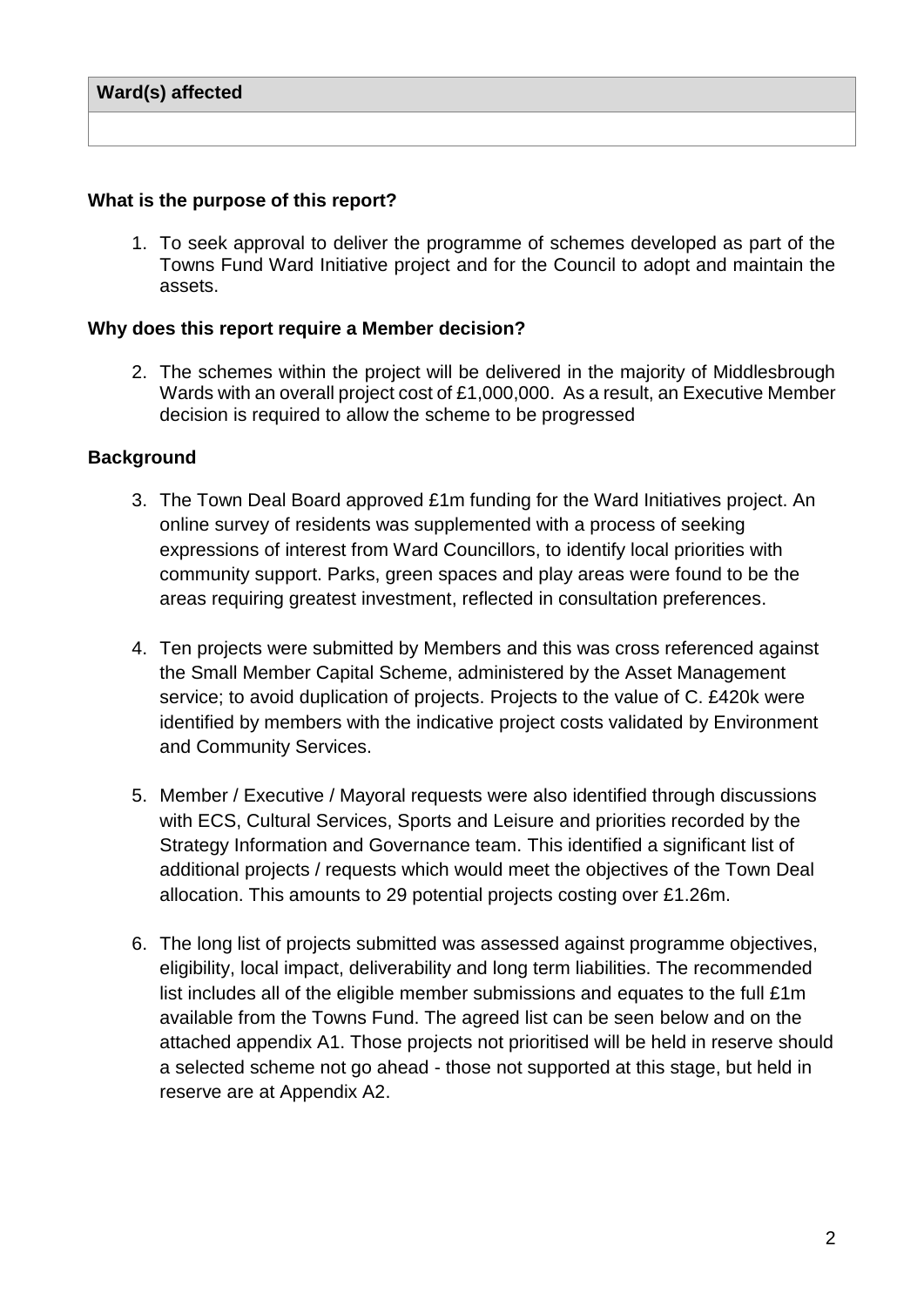#### **What is the purpose of this report?**

1. To seek approval to deliver the programme of schemes developed as part of the Towns Fund Ward Initiative project and for the Council to adopt and maintain the assets.

#### **Why does this report require a Member decision?**

2. The schemes within the project will be delivered in the majority of Middlesbrough Wards with an overall project cost of £1,000,000. As a result, an Executive Member decision is required to allow the scheme to be progressed

### **Background**

- 3. The Town Deal Board approved £1m funding for the Ward Initiatives project. An online survey of residents was supplemented with a process of seeking expressions of interest from Ward Councillors, to identify local priorities with community support. Parks, green spaces and play areas were found to be the areas requiring greatest investment, reflected in consultation preferences.
- 4. Ten projects were submitted by Members and this was cross referenced against the Small Member Capital Scheme, administered by the Asset Management service; to avoid duplication of projects. Projects to the value of C. £420k were identified by members with the indicative project costs validated by Environment and Community Services.
- 5. Member / Executive / Mayoral requests were also identified through discussions with ECS, Cultural Services, Sports and Leisure and priorities recorded by the Strategy Information and Governance team. This identified a significant list of additional projects / requests which would meet the objectives of the Town Deal allocation. This amounts to 29 potential projects costing over £1.26m.
- 6. The long list of projects submitted was assessed against programme objectives, eligibility, local impact, deliverability and long term liabilities. The recommended list includes all of the eligible member submissions and equates to the full £1m available from the Towns Fund. The agreed list can be seen below and on the attached appendix A1. Those projects not prioritised will be held in reserve should a selected scheme not go ahead - those not supported at this stage, but held in reserve are at Appendix A2.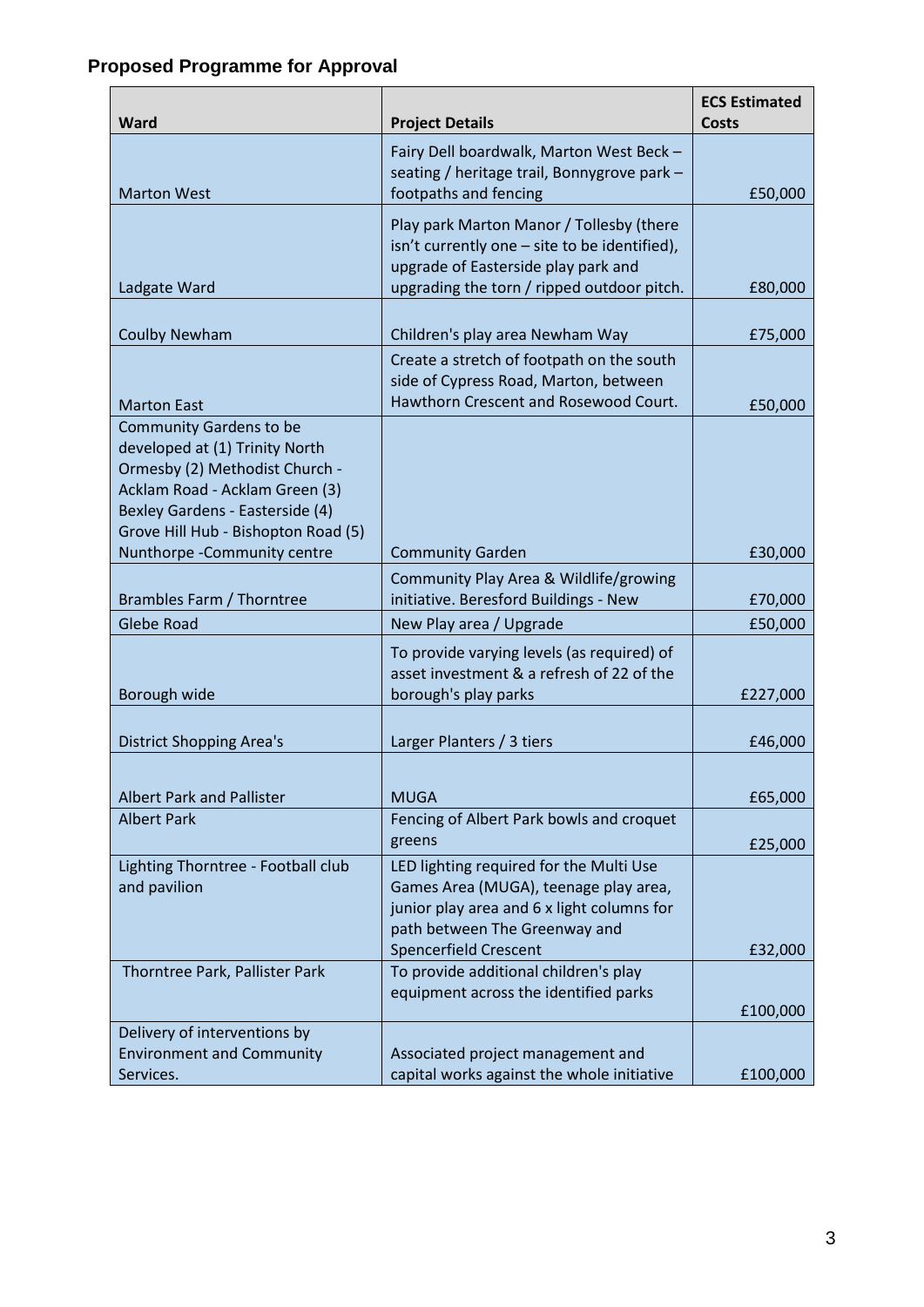| Ward                                                              | <b>Project Details</b>                                                                                                           | <b>ECS Estimated</b><br>Costs |
|-------------------------------------------------------------------|----------------------------------------------------------------------------------------------------------------------------------|-------------------------------|
| <b>Marton West</b>                                                | Fairy Dell boardwalk, Marton West Beck -<br>seating / heritage trail, Bonnygrove park -<br>footpaths and fencing                 | £50,000                       |
|                                                                   | Play park Marton Manor / Tollesby (there<br>isn't currently one - site to be identified),<br>upgrade of Easterside play park and |                               |
| Ladgate Ward                                                      | upgrading the torn / ripped outdoor pitch.                                                                                       | £80,000                       |
| <b>Coulby Newham</b>                                              | Children's play area Newham Way                                                                                                  | £75,000                       |
|                                                                   | Create a stretch of footpath on the south<br>side of Cypress Road, Marton, between<br>Hawthorn Crescent and Rosewood Court.      |                               |
| <b>Marton East</b><br><b>Community Gardens to be</b>              |                                                                                                                                  | £50,000                       |
| developed at (1) Trinity North                                    |                                                                                                                                  |                               |
| Ormesby (2) Methodist Church -                                    |                                                                                                                                  |                               |
| Acklam Road - Acklam Green (3)<br>Bexley Gardens - Easterside (4) |                                                                                                                                  |                               |
| Grove Hill Hub - Bishopton Road (5)                               |                                                                                                                                  |                               |
| Nunthorpe - Community centre                                      | <b>Community Garden</b>                                                                                                          | £30,000                       |
|                                                                   | Community Play Area & Wildlife/growing                                                                                           |                               |
| Brambles Farm / Thorntree                                         | initiative. Beresford Buildings - New                                                                                            | £70,000                       |
| <b>Glebe Road</b>                                                 | New Play area / Upgrade                                                                                                          | £50,000                       |
|                                                                   | To provide varying levels (as required) of                                                                                       |                               |
| Borough wide                                                      | asset investment & a refresh of 22 of the<br>borough's play parks                                                                | £227,000                      |
|                                                                   |                                                                                                                                  |                               |
| <b>District Shopping Area's</b>                                   | Larger Planters / 3 tiers                                                                                                        | £46,000                       |
|                                                                   |                                                                                                                                  |                               |
| <b>Albert Park and Pallister</b>                                  | <b>MUGA</b>                                                                                                                      | £65,000                       |
| <b>Albert Park</b>                                                | Fencing of Albert Park bowls and croquet<br>greens                                                                               | £25,000                       |
| Lighting Thorntree - Football club                                | LED lighting required for the Multi Use                                                                                          |                               |
| and pavilion                                                      | Games Area (MUGA), teenage play area,                                                                                            |                               |
|                                                                   | junior play area and 6 x light columns for<br>path between The Greenway and                                                      |                               |
|                                                                   | <b>Spencerfield Crescent</b>                                                                                                     | £32,000                       |
| Thorntree Park, Pallister Park                                    | To provide additional children's play                                                                                            |                               |
|                                                                   | equipment across the identified parks                                                                                            | £100,000                      |
| Delivery of interventions by                                      |                                                                                                                                  |                               |
| <b>Environment and Community</b>                                  | Associated project management and                                                                                                |                               |
| Services.                                                         | capital works against the whole initiative                                                                                       | £100,000                      |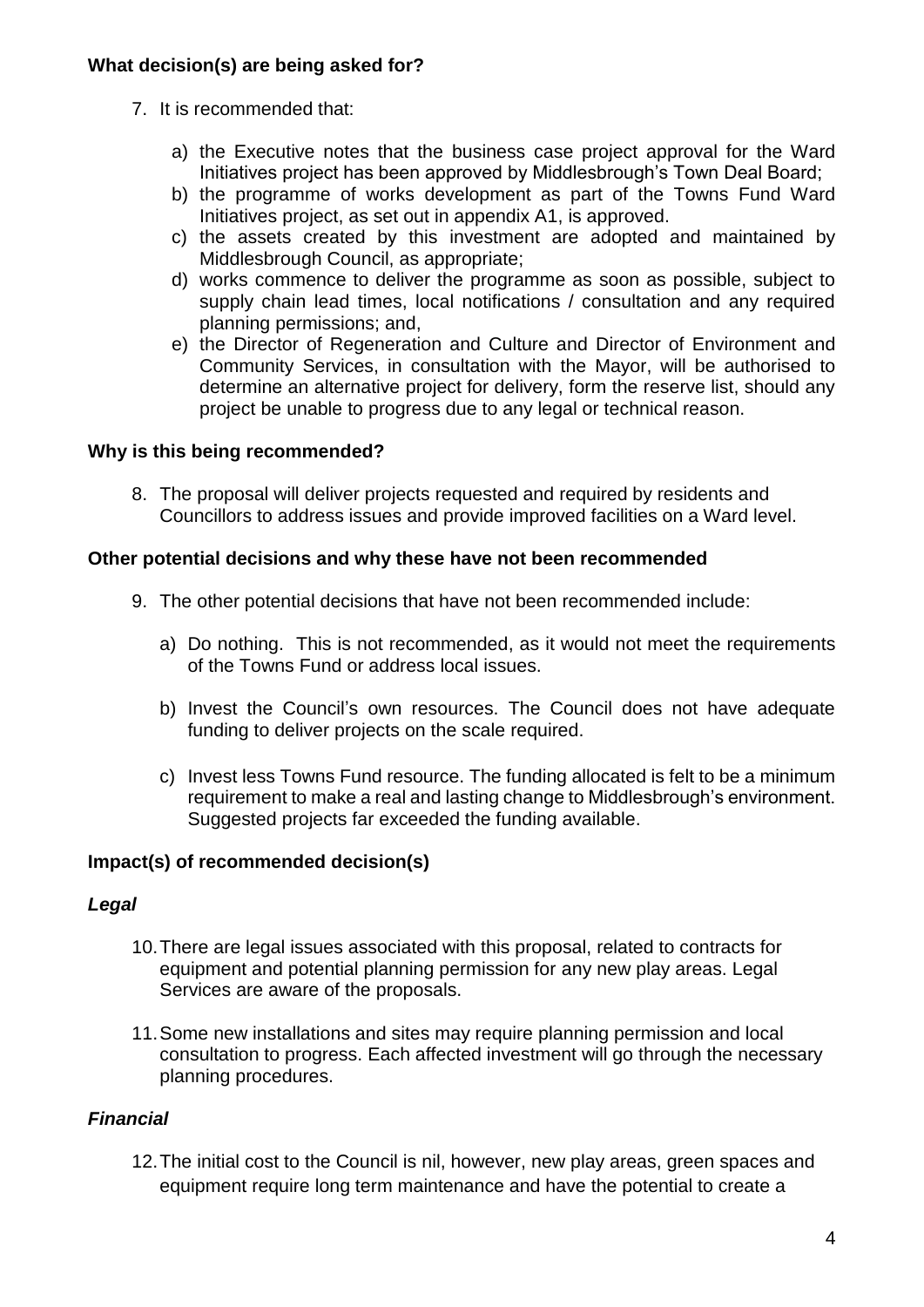# **What decision(s) are being asked for?**

- 7. It is recommended that:
	- a) the Executive notes that the business case project approval for the Ward Initiatives project has been approved by Middlesbrough's Town Deal Board;
	- b) the programme of works development as part of the Towns Fund Ward Initiatives project, as set out in appendix A1, is approved.
	- c) the assets created by this investment are adopted and maintained by Middlesbrough Council, as appropriate;
	- d) works commence to deliver the programme as soon as possible, subject to supply chain lead times, local notifications / consultation and any required planning permissions; and,
	- e) the Director of Regeneration and Culture and Director of Environment and Community Services, in consultation with the Mayor, will be authorised to determine an alternative project for delivery, form the reserve list, should any project be unable to progress due to any legal or technical reason.

# **Why is this being recommended?**

8. The proposal will deliver projects requested and required by residents and Councillors to address issues and provide improved facilities on a Ward level.

# **Other potential decisions and why these have not been recommended**

- 9. The other potential decisions that have not been recommended include:
	- a) Do nothing. This is not recommended, as it would not meet the requirements of the Towns Fund or address local issues.
	- b) Invest the Council's own resources. The Council does not have adequate funding to deliver projects on the scale required.
	- c) Invest less Towns Fund resource. The funding allocated is felt to be a minimum requirement to make a real and lasting change to Middlesbrough's environment. Suggested projects far exceeded the funding available.

# **Impact(s) of recommended decision(s)**

# *Legal*

- 10.There are legal issues associated with this proposal, related to contracts for equipment and potential planning permission for any new play areas. Legal Services are aware of the proposals.
- 11.Some new installations and sites may require planning permission and local consultation to progress. Each affected investment will go through the necessary planning procedures.

# *Financial*

12.The initial cost to the Council is nil, however, new play areas, green spaces and equipment require long term maintenance and have the potential to create a